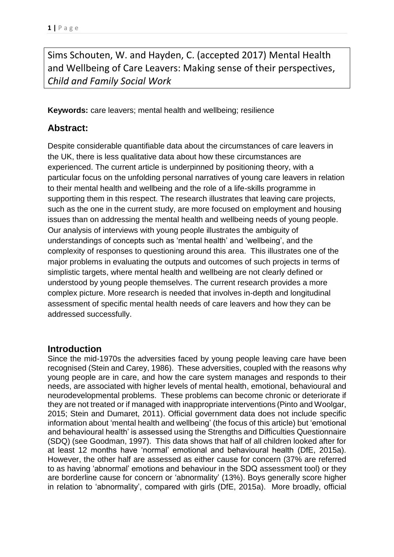Sims Schouten, W. and Hayden, C. (accepted 2017) Mental Health and Wellbeing of Care Leavers: Making sense of their perspectives, *Child and Family Social Work*

**Keywords:** care leavers; mental health and wellbeing; resilience

# **Abstract:**

Despite considerable quantifiable data about the circumstances of care leavers in the UK, there is less qualitative data about how these circumstances are experienced. The current article is underpinned by positioning theory, with a particular focus on the unfolding personal narratives of young care leavers in relation to their mental health and wellbeing and the role of a life-skills programme in supporting them in this respect. The research illustrates that leaving care projects, such as the one in the current study, are more focused on employment and housing issues than on addressing the mental health and wellbeing needs of young people. Our analysis of interviews with young people illustrates the ambiguity of understandings of concepts such as 'mental health' and 'wellbeing', and the complexity of responses to questioning around this area. This illustrates one of the major problems in evaluating the outputs and outcomes of such projects in terms of simplistic targets, where mental health and wellbeing are not clearly defined or understood by young people themselves. The current research provides a more complex picture. More research is needed that involves in-depth and longitudinal assessment of specific mental health needs of care leavers and how they can be addressed successfully.

## **Introduction**

Since the mid-1970s the adversities faced by young people leaving care have been recognised (Stein and Carey, 1986). These adversities, coupled with the reasons why young people are in care, and how the care system manages and responds to their needs, are associated with higher levels of mental health, emotional, behavioural and neurodevelopmental problems. These problems can become chronic or deteriorate if they are not treated or if managed with inappropriate interventions (Pinto and Woolgar, 2015; Stein and Dumaret, 2011). Official government data does not include specific information about 'mental health and wellbeing' (the focus of this article) but 'emotional and behavioural health' is assessed using the Strengths and Difficulties Questionnaire (SDQ) (see Goodman, 1997). This data shows that half of all children looked after for at least 12 months have 'normal' emotional and behavioural health (DfE, 2015a). However, the other half are assessed as either cause for concern (37% are referred to as having 'abnormal' emotions and behaviour in the SDQ assessment tool) or they are borderline cause for concern or 'abnormality' (13%). Boys generally score higher in relation to 'abnormality', compared with girls (DfE, 2015a). More broadly, official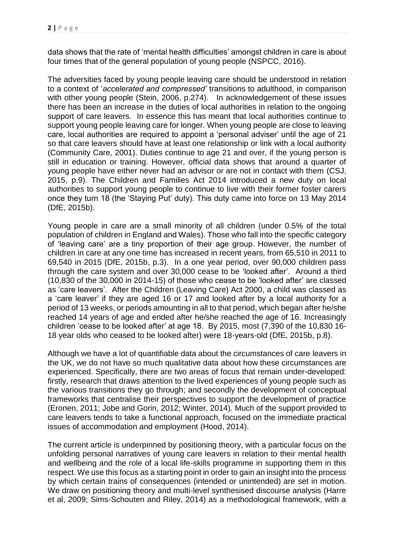data shows that the rate of 'mental health difficulties' amongst children in care is about four times that of the general population of young people (NSPCC, 2016).

The adversities faced by young people leaving care should be understood in relation to a context of '*accelerated and compressed'* transitions to adulthood, in comparison with other young people (Stein, 2006, p.274). In acknowledgement of these issues there has been an increase in the duties of local authorities in relation to the ongoing support of care leavers. In essence this has meant that local authorities continue to support young people leaving care for longer. When young people are close to leaving care, local authorities are required to appoint a 'personal adviser' until the age of 21 so that care leavers should have at least one relationship or link with a local authority (Community Care, 2001). Duties continue to age 21 and over, if the young person is still in education or training. However, official data shows that around a quarter of young people have either never had an advisor or are not in contact with them (CSJ, 2015, p.9). The Children and Families Act 2014 introduced a new duty on local authorities to support young people to continue to live with their former foster carers once they turn 18 (the 'Staying Put' duty). This duty came into force on 13 May 2014 (DfE, 2015b).

Young people in care are a small minority of all children (under 0.5% of the total population of children in England and Wales). Those who fall into the specific category of 'leaving care' are a tiny proportion of their age group. However, the number of children in care at any one time has increased in recent years, from 65,510 in 2011 to 69,540 in 2015 (DfE, 2015b, p.3). In a one year period, over 90,000 children pass through the care system and over 30,000 cease to be 'looked after'. Around a third (10,830 of the 30,000 in 2014-15) of those who cease to be 'looked after' are classed as 'care leavers'. After the Children (Leaving Care) Act 2000, a child was classed as a 'care leaver' if they are aged 16 or 17 and looked after by a local authority for a period of 13 weeks, or periods amounting in all to that period, which began after he/she reached 14 years of age and ended after he/she reached the age of 16. Increasingly children 'cease to be looked after' at age 18. By 2015, most (7,390 of the 10,830 16- 18 year olds who ceased to be looked after) were 18-years-old (DfE, 2015b, p.8).

Although we have a lot of quantifiable data about the circumstances of care leavers in the UK, we do not have so much qualitative data about how these circumstances are experienced. Specifically, there are two areas of focus that remain under-developed: firstly, research that draws attention to the lived experiences of young people such as the various transitions they go through; and secondly the development of conceptual frameworks that centralise their perspectives to support the development of practice (Eronen, 2011; Jobe and Gorin, 2012; Winter, 2014). Much of the support provided to care leavers tends to take a functional approach, focused on the immediate practical issues of accommodation and employment (Hood, 2014).

The current article is underpinned by positioning theory, with a particular focus on the unfolding personal narratives of young care leavers in relation to their mental health and wellbeing and the role of a local life-skills programme in supporting them in this respect. We use this focus as a starting point in order to gain an insight into the process by which certain trains of consequences (intended or unintended) are set in motion. We draw on positioning theory and multi-level synthesised discourse analysis (Harre et al, 2009; Sims-Schouten and Riley, 2014) as a methodological framework, with a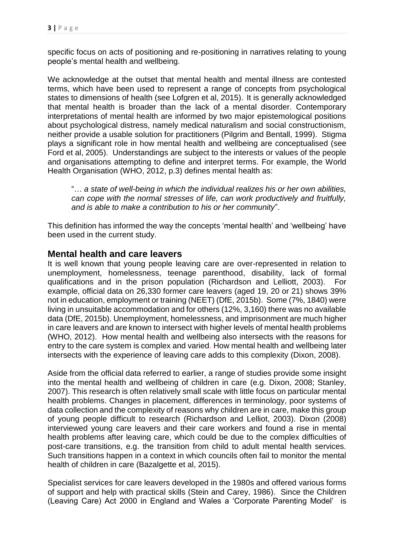specific focus on acts of positioning and re-positioning in narratives relating to young people's mental health and wellbeing.

We acknowledge at the outset that mental health and mental illness are contested terms, which have been used to represent a range of concepts from psychological states to dimensions of health (see Lofgren et al, 2015). It is generally acknowledged that mental health is broader than the lack of a mental disorder. Contemporary interpretations of mental health are informed by two major epistemological positions about psychological distress, namely medical naturalism and social constructionism, neither provide a usable solution for practitioners (Pilgrim and Bentall, 1999). Stigma plays a significant role in how mental health and wellbeing are conceptualised (see Ford et al, 2005). Understandings are subject to the interests or values of the people and organisations attempting to define and interpret terms. For example, the World Health Organisation (WHO, 2012, p.3) defines mental health as:

"… *a state of well-being in which the individual realizes his or her own abilities, can cope with the normal stresses of life, can work productively and fruitfully, and is able to make a contribution to his or her community*".

This definition has informed the way the concepts 'mental health' and 'wellbeing' have been used in the current study.

#### **Mental health and care leavers**

It is well known that young people leaving care are over-represented in relation to unemployment, homelessness, teenage parenthood, disability, lack of formal qualifications and in the prison population (Richardson and Lelliott, 2003). For example, official data on 26,330 former care leavers (aged 19, 20 or 21) shows 39% not in education, employment or training (NEET) (DfE, 2015b). Some (7%, 1840) were living in unsuitable accommodation and for others (12%, 3,160) there was no available data (DfE, 2015b). Unemployment, homelessness, and imprisonment are much higher in care leavers and are known to intersect with higher levels of mental health problems (WHO, 2012). How mental health and wellbeing also intersects with the reasons for entry to the care system is complex and varied. How mental health and wellbeing later intersects with the experience of leaving care adds to this complexity (Dixon, 2008).

Aside from the official data referred to earlier, a range of studies provide some insight into the mental health and wellbeing of children in care (e.g. Dixon, 2008; Stanley, 2007). This research is often relatively small scale with little focus on particular mental health problems. Changes in placement, differences in terminology, poor systems of data collection and the complexity of reasons why children are in care, make this group of young people difficult to research (Richardson and Lelliot, 2003). Dixon (2008) interviewed young care leavers and their care workers and found a rise in mental health problems after leaving care, which could be due to the complex difficulties of post-care transitions, e.g. the transition from child to adult mental health services. Such transitions happen in a context in which councils often fail to monitor the mental health of children in care (Bazalgette et al, 2015).

Specialist services for care leavers developed in the 1980s and offered various forms of support and help with practical skills (Stein and Carey, 1986). Since the Children (Leaving Care) Act 2000 in England and Wales a 'Corporate Parenting Model' is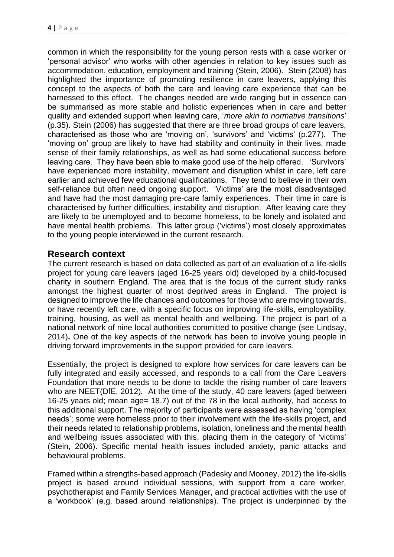common in which the responsibility for the young person rests with a case worker or 'personal advisor' who works with other agencies in relation to key issues such as accommodation, education, employment and training (Stein, 2006). Stein (2008) has highlighted the importance of promoting resilience in care leavers, applying this concept to the aspects of both the care and leaving care experience that can be harnessed to this effect. The changes needed are wide ranging but in essence can be summarised as more stable and holistic experiences when in care and better quality and extended support when leaving care, '*more akin to normative transitions*' (p.35). Stein (2006) has suggested that there are three broad groups of care leavers, characterised as those who are 'moving on', 'survivors' and 'victims' (p.277). The 'moving on' group are likely to have had stability and continuity in their lives, made sense of their family relationships, as well as had some educational success before leaving care. They have been able to make good use of the help offered. 'Survivors' have experienced more instability, movement and disruption whilst in care, left care earlier and achieved few educational qualifications. They tend to believe in their own self-reliance but often need ongoing support. 'Victims' are the most disadvantaged and have had the most damaging pre-care family experiences. Their time in care is characterised by further difficulties, instability and disruption. After leaving care they are likely to be unemployed and to become homeless, to be lonely and isolated and have mental health problems. This latter group ('victims') most closely approximates to the young people interviewed in the current research.

### **Research context**

The current research is based on data collected as part of an evaluation of a life-skills project for young care leavers (aged 16-25 years old) developed by a child-focused charity in southern England. The area that is the focus of the current study ranks amongst the highest quarter of most deprived areas in England. The project is designed to improve the life chances and outcomes for those who are moving towards, or have recently left care, with a specific focus on improving life-skills, employability, training, housing, as well as mental health and wellbeing. The project is part of a national network of nine local authorities committed to positive change (see Lindsay, 2014)**.** One of the key aspects of the network has been to involve young people in driving forward improvements in the support provided for care leavers.

Essentially, the project is designed to explore how services for care leavers can be fully integrated and easily accessed, and responds to a call from the Care Leavers Foundation that more needs to be done to tackle the rising number of care leavers who are NEET(DfE, 2012)*.* At the time of the study, 40 care leavers (aged between 16-25 years old; mean age= 18.7) out of the 78 in the local authority, had access to this additional support. The majority of participants were assessed as having 'complex needs'; some were homeless prior to their involvement with the life-skills project, and their needs related to relationship problems, isolation, loneliness and the mental health and wellbeing issues associated with this, placing them in the category of 'victims' (Stein, 2006). Specific mental health issues included anxiety, panic attacks and behavioural problems.

Framed within a strengths-based approach (Padesky and Mooney, 2012) the life-skills project is based around individual sessions, with support from a care worker, psychotherapist and Family Services Manager, and practical activities with the use of a 'workbook' (e.g. based around relationships). The project is underpinned by the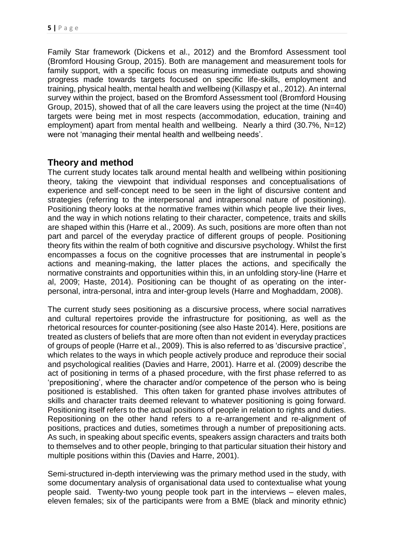Family Star framework (Dickens et al., 2012) and the Bromford Assessment tool (Bromford Housing Group, 2015). Both are management and measurement tools for family support, with a specific focus on measuring immediate outputs and showing progress made towards targets focused on specific life-skills, employment and training, physical health, mental health and wellbeing (Killaspy et al., 2012). An internal survey within the project, based on the Bromford Assessment tool (Bromford Housing Group, 2015), showed that of all the care leavers using the project at the time (N=40) targets were being met in most respects (accommodation, education, training and employment) apart from mental health and wellbeing. Nearly a third (30.7%, N=12) were not 'managing their mental health and wellbeing needs'.

### **Theory and method**

The current study locates talk around mental health and wellbeing within positioning theory, taking the viewpoint that individual responses and conceptualisations of experience and self-concept need to be seen in the light of discursive content and strategies (referring to the interpersonal and intrapersonal nature of positioning). Positioning theory looks at the normative frames within which people live their lives, and the way in which notions relating to their character, competence, traits and skills are shaped within this (Harre et al., 2009). As such, positions are more often than not part and parcel of the everyday practice of different groups of people. Positioning theory fits within the realm of both cognitive and discursive psychology. Whilst the first encompasses a focus on the cognitive processes that are instrumental in people's actions and meaning-making, the latter places the actions, and specifically the normative constraints and opportunities within this, in an unfolding story-line (Harre et al, 2009; Haste, 2014). Positioning can be thought of as operating on the interpersonal, intra-personal, intra and inter-group levels (Harre and Moghaddam, 2008).

The current study sees positioning as a discursive process, where social narratives and cultural repertoires provide the infrastructure for positioning, as well as the rhetorical resources for counter-positioning (see also Haste 2014). Here, positions are treated as clusters of beliefs that are more often than not evident in everyday practices of groups of people (Harre et al., 2009). This is also referred to as 'discursive practice', which relates to the ways in which people actively produce and reproduce their social and psychological realities (Davies and Harre, 2001). Harre et al. (2009) describe the act of positioning in terms of a phased procedure, with the first phase referred to as 'prepositioning', where the character and/or competence of the person who is being positioned is established. This often taken for granted phase involves attributes of skills and character traits deemed relevant to whatever positioning is going forward. Positioning itself refers to the actual positions of people in relation to rights and duties. Repositioning on the other hand refers to a re-arrangement and re-alignment of positions, practices and duties, sometimes through a number of prepositioning acts. As such, in speaking about specific events, speakers assign characters and traits both to themselves and to other people, bringing to that particular situation their history and multiple positions within this (Davies and Harre, 2001).

Semi-structured in-depth interviewing was the primary method used in the study, with some documentary analysis of organisational data used to contextualise what young people said. Twenty-two young people took part in the interviews – eleven males, eleven females; six of the participants were from a BME (black and minority ethnic)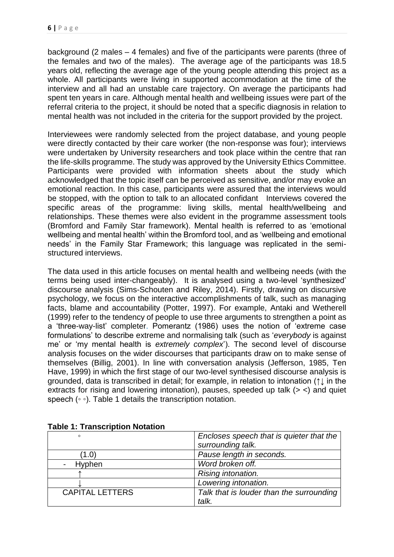background (2 males – 4 females) and five of the participants were parents (three of the females and two of the males). The average age of the participants was 18.5 years old, reflecting the average age of the young people attending this project as a whole. All participants were living in supported accommodation at the time of the interview and all had an unstable care trajectory. On average the participants had spent ten years in care. Although mental health and wellbeing issues were part of the referral criteria to the project, it should be noted that a specific diagnosis in relation to mental health was not included in the criteria for the support provided by the project.

Interviewees were randomly selected from the project database, and young people were directly contacted by their care worker (the non-response was four); interviews were undertaken by University researchers and took place within the centre that ran the life-skills programme. The study was approved by the University Ethics Committee. Participants were provided with information sheets about the study which acknowledged that the topic itself can be perceived as sensitive, and/or may evoke an emotional reaction. In this case, participants were assured that the interviews would be stopped, with the option to talk to an allocated confidant Interviews covered the specific areas of the programme: living skills, mental health/wellbeing and relationships. These themes were also evident in the programme assessment tools (Bromford and Family Star framework). Mental health is referred to as 'emotional wellbeing and mental health' within the Bromford tool, and as 'wellbeing and emotional needs' in the Family Star Framework; this language was replicated in the semistructured interviews.

The data used in this article focuses on mental health and wellbeing needs (with the terms being used inter-changeably). It is analysed using a two-level 'synthesized' discourse analysis (Sims-Schouten and Riley, 2014). Firstly, drawing on discursive psychology, we focus on the interactive accomplishments of talk, such as managing facts, blame and accountability (Potter, 1997). For example, Antaki and Wetherell (1999) refer to the tendency of people to use three arguments to strengthen a point as a 'three-way-list' completer. Pomerantz (1986) uses the notion of 'extreme case formulations' to describe extreme and normalising talk (such as '*everybody* is against me' or 'my mental health is *extremely complex*'). The second level of discourse analysis focuses on the wider discourses that participants draw on to make sense of themselves (Billig, 2001). In line with conversation analysis (Jefferson, 1985, Ten Have, 1999) in which the first stage of our two-level synthesised discourse analysis is grounded, data is transcribed in detail; for example, in relation to intonation (↑↓ in the extracts for rising and lowering intonation), pauses, speeded up talk  $($  >  $>$  and quiet speech (◦ ◦). Table 1 details the transcription notation.

| $\circ$                | Encloses speech that is quieter that the<br>surrounding talk. |
|------------------------|---------------------------------------------------------------|
| 1.0)                   | Pause length in seconds.                                      |
| Hyphen                 | Word broken off.                                              |
|                        | Rising intonation.                                            |
|                        | Lowering intonation.                                          |
| <b>CAPITAL LETTERS</b> | Talk that is louder than the surrounding<br>talk.             |

|  | <b>Table 1: Transcription Notation</b> |  |
|--|----------------------------------------|--|
|--|----------------------------------------|--|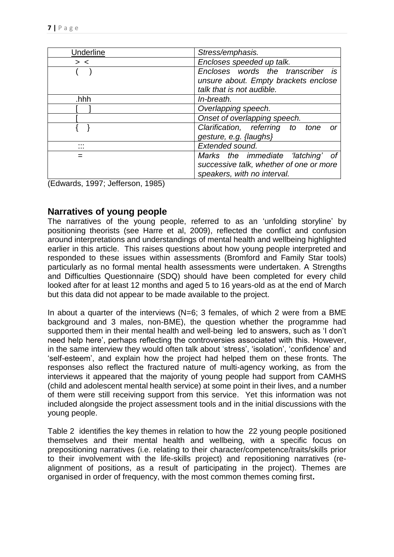| <b>Underline</b>                   | Stress/emphasis.                        |
|------------------------------------|-----------------------------------------|
| $>$ <                              | Encloses speeded up talk.               |
|                                    | Encloses words the transcriber is       |
|                                    | unsure about. Empty brackets enclose    |
|                                    | talk that is not audible.               |
| .hhh                               | In-breath.                              |
|                                    | Overlapping speech.                     |
|                                    | Onset of overlapping speech.            |
|                                    | Clarification, referring to tone<br>0r  |
|                                    | gesture, e.g. {laughs}                  |
|                                    | Extended sound.                         |
|                                    | Marks the immediate 'latching' of       |
|                                    | successive talk, whether of one or more |
|                                    | speakers, with no interval.             |
| $\sim$ $\sim$ $\sim$ $\sim$ $\sim$ |                                         |

(Edwards, 1997; Jefferson, 1985)

# **Narratives of young people**

The narratives of the young people, referred to as an 'unfolding storyline' by positioning theorists (see Harre et al, 2009), reflected the conflict and confusion around interpretations and understandings of mental health and wellbeing highlighted earlier in this article. This raises questions about how young people interpreted and responded to these issues within assessments (Bromford and Family Star tools) particularly as no formal mental health assessments were undertaken. A Strengths and Difficulties Questionnaire (SDQ) should have been completed for every child looked after for at least 12 months and aged 5 to 16 years-old as at the end of March but this data did not appear to be made available to the project.

In about a quarter of the interviews (N=6; 3 females, of which 2 were from a BME background and 3 males, non-BME), the question whether the programme had supported them in their mental health and well-being led to answers, such as 'I don't need help here', perhaps reflecting the controversies associated with this. However, in the same interview they would often talk about 'stress', 'isolation', 'confidence' and 'self-esteem', and explain how the project had helped them on these fronts. The responses also reflect the fractured nature of multi-agency working, as from the interviews it appeared that the majority of young people had support from CAMHS (child and adolescent mental health service) at some point in their lives, and a number of them were still receiving support from this service. Yet this information was not included alongside the project assessment tools and in the initial discussions with the young people.

Table 2 identifies the key themes in relation to how the 22 young people positioned themselves and their mental health and wellbeing, with a specific focus on prepositioning narratives (i.e. relating to their character/competence/traits/skills prior to their involvement with the life-skills project) and repositioning narratives (realignment of positions, as a result of participating in the project). Themes are organised in order of frequency, with the most common themes coming first**.**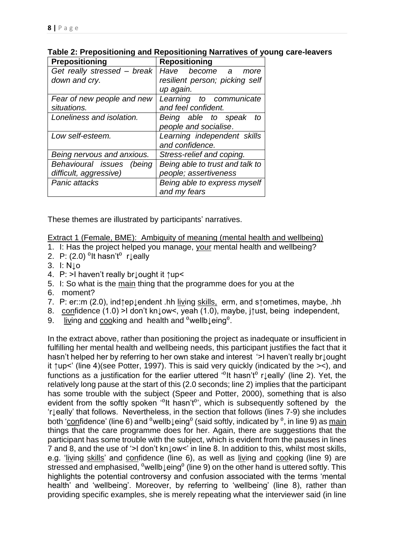| <b>Prepositioning</b>        | <b>Repositioning</b>            |
|------------------------------|---------------------------------|
| Get really stressed - break  | become a<br>Have<br>more        |
| down and cry.                | resilient person; picking self  |
|                              | up again.                       |
| Fear of new people and new   | Learning to communicate         |
| situations.                  | and feel confident.             |
| Loneliness and isolation.    | Being able to speak<br>to       |
|                              | people and socialise.           |
| Low self-esteem.             | Learning independent skills     |
|                              | and confidence.                 |
| Being nervous and anxious.   | Stress-relief and coping.       |
| Behavioural issues<br>(being | Being able to trust and talk to |
| difficult, aggressive)       | people; assertiveness           |
| Panic attacks                | Being able to express myself    |
|                              | and my fears                    |

# Table 2: Prepositioning and Repositioning Narratives of young care-leavers

These themes are illustrated by participants' narratives.

Extract 1 (Female, BME): Ambiguity of meaning (mental health and wellbeing)

- 1. I: Has the project helped you manage, your mental health and wellbeing?
- 2. P: (2.0) <sup>o</sup>lt hasn't<sup>o</sup> r<sub>leally</sub>
- $3. \ \mathsf{I}: \mathsf{N} \mathsf{I} \mathsf{o}$
- 4. P: >I haven't really brlought it  $\uparrow$ up<
- 5. I: So what is the main thing that the programme does for you at the
- 6. moment?
- 7. P: er::m (2.0), ind replendent .hh living skills, erm, and s tometimes, maybe, .hh
- 8. confidence (1.0) > don't kn Low<, yeah (1.0), maybe, if ust, being independent,
- living and cooking and health and  $^0$ wellbleing<sup>0</sup>. 9.

In the extract above, rather than positioning the project as inadequate or insufficient in fulfilling her mental health and wellbeing needs, this participant justifies the fact that it hasn't helped her by referring to her own stake and interest '>I haven't really brlought it  $\uparrow$ up<' (line 4) (see Potter, 1997). This is said very quickly (indicated by the  $\gt$  <), and functions as a justification for the earlier uttered  $^{0}$ It hasn't<sup>o</sup> r leally' (line 2). Yet, the relatively long pause at the start of this (2.0 seconds; line 2) implies that the participant has some trouble with the subject (Speer and Potter, 2000), something that is also evident from the softly spoken '<sup>0</sup>It hasn't<sup>0</sup>', which is subsequently softened by the 'r Leally' that follows. Nevertheless, in the section that follows (lines 7-9) she includes both 'confidence' (line 6) and  $^0$ wellb  $\downarrow$ eing<sup>0</sup> (said softly, indicated by  $^0$ , in line 9) as main things that the care programme does for her. Again, there are suggestions that the participant has some trouble with the subject, which is evident from the pauses in lines 7 and 8, and the use of '>I don't kn low<' in line 8. In addition to this, whilst most skills, e.g. 'living skills' and confidence (line 6), as well as living and cooking (line 9) are stressed and emphasised. <sup>0</sup> wellb leing<sup>0</sup> (line 9) on the other hand is uttered softly. This highlights the potential controversy and confusion associated with the terms 'mental health' and 'wellbeing'. Moreover, by referring to 'wellbeing' (line 8), rather than providing specific examples, she is merely repeating what the interviewer said (in line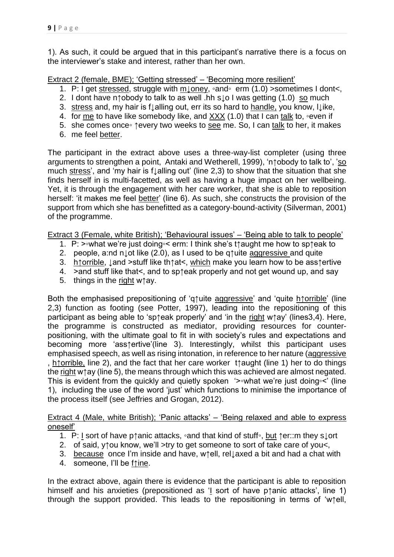1). As such, it could be argued that in this participant's narrative there is a focus on the interviewer's stake and interest, rather than her own.

Extract 2 (female, BME); 'Getting stressed' - 'Becoming more resilient'

- 1. P: I get stressed, struggle with mloney, and erm (1.0) > sometimes I dont<,
- 2. I dont have ntobody to talk to as well .hh slo I was getting (1.0) so much
- 3. stress and, my hair is flalling out, err its so hard to handle, you know, llike,
- 4. for me to have like somebody like, and XXX (1.0) that I can talk to, seven if
- 5. she comes once<sup>®</sup> Tevery two weeks to see me. So, I can talk to her, it makes
- 6. me feel better.

The participant in the extract above uses a three-way-list completer (using three arguments to strengthen a point, Antaki and Wetherell, 1999), 'n tobody to talk to', 'so much stress', and 'my hair is flalling out' (line 2,3) to show that the situation that she finds herself in is multi-facetted, as well as having a huge impact on her wellbeing. Yet, it is through the engagement with her care worker, that she is able to reposition herself: 'it makes me feel better' (line 6). As such, she constructs the provision of the support from which she has benefitted as a category-bound-activity (Silverman, 2001) of the programme.

Extract 3 (Female, white British); 'Behavioural issues' – 'Being able to talk to people'

- 1. P: > what we're just doing < erm: I think she's thaught me how to speak to
- 2. people, and  $n\downarrow$  ot like (2.0), as I used to be q uite aggressive and quite
- 3. h\*orrible, Land > stuff like th\*at<, which make you learn how to be ass\*ertive
- 4. > and stuff like that<, and to sp teak properly and not get wound up, and say
- 5. things in the right  $w \uparrow a y$ .

Both the emphasised prepositioning of 'q $\uparrow$ uite aggressive' and 'quite h $\uparrow$ orrible' (line 2.3) function as footing (see Potter, 1997), leading into the repositioning of this participant as being able to 'sp<sub>1</sub> eak properly' and 'in the right w<sub>1</sub> ay' (lines 3,4). Here, the programme is constructed as mediator, providing resources for counterpositioning, with the ultimate goal to fit in with society's rules and expectations and becoming more 'asstertive'(line 3). Interestingly, whilst this participant uses emphasised speech, as well as rising intonation, in reference to her nature (aggressive , h\*orrible, line 2), and the fact that her care worker t\*aught (line 1) her to do things the right w $\uparrow$ ay (line 5), the means through which this was achieved are almost negated. This is evident from the quickly and quietly spoken '> what we're just doing <' (line 1), including the use of the word 'just' which functions to minimise the importance of the process itself (see Jeffries and Grogan, 2012).

Extract 4 (Male, white British); 'Panic attacks' – 'Being relaxed and able to express oneself'

- 1. P: I sort of have p tanic attacks, eand that kind of stuffe, but ter: m they slort
- 2. of said, y tou know, we'll >try to get someone to sort of take care of you<,
- 3. because once I'm inside and have, w ell, rellaxed a bit and had a chat with
- 4. someone, I'll be f $\uparrow$ ine.

In the extract above, again there is evidence that the participant is able to reposition himself and his anxieties (prepositioned as 'I sort of have p tanic attacks', line 1) through the support provided. This leads to the repositioning in terms of 'w tell,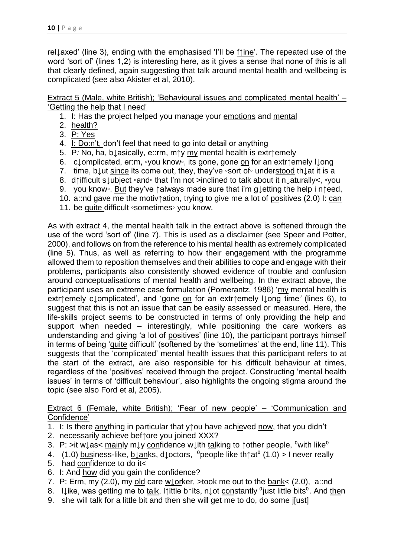rellaxed' (line 3), ending with the emphasised 'I'll be ftine'. The repeated use of the word 'sort of' (lines 1,2) is interesting here, as it gives a sense that none of this is all that clearly defined, again suggesting that talk around mental health and wellbeing is complicated (see also Akister et al, 2010).

Extract 5 (Male, white British); 'Behavioural issues and complicated mental health' -'Getting the help that I need'

- 1. I: Has the project helped you manage your emotions and mental
- 2. health?
- 3. P: Yes
- 4. I: Do:n't, don't feel that need to go into detail or anything
- 5. P: No, ha, blasically, e:: rm, m  $\gamma$  my mental health is extr temely
- 6. clomplicated, er:m, .you know., its gone, gone on for an extrictmely llong
- 7. time, blut since its come out, they, they've sort of understood thlat it is a
- 8. d\*ifficult slubject and that I'm not >inclined to talk about it nlaturally<, vou
- 9. you know  $\cdot$ . But they've  $\uparrow$  always made sure that i'm gletting the help i n $\uparrow$ eed,
- 10. a: nd gave me the motiv tation, trying to give me a lot of positives  $(2.0)$  I: can
- 11. be quite difficult sometimes you know.

As with extract 4, the mental health talk in the extract above is softened through the use of the word 'sort of' (line 7). This is used as a disclaimer (see Speer and Potter, 2000), and follows on from the reference to his mental health as extremely complicated (line 5). Thus, as well as referring to how their engagement with the programme allowed them to reposition themselves and their abilities to cope and engage with their problems, participants also consistently showed evidence of trouble and confusion around conceptualisations of mental health and wellbeing. In the extract above, the participant uses an extreme case formulation (Pomerantz, 1986) 'my mental health is extremely clomplicated', and 'gone on for an extremely llong time' (lines 6), to suggest that this is not an issue that can be easily assessed or measured. Here, the life-skills project seems to be constructed in terms of only providing the help and support when needed – interestingly, while positioning the care workers as understanding and giving 'a lot of positives' (line 10), the participant portrays himself in terms of being 'quite difficult' (softened by the 'sometimes' at the end, line 11). This suggests that the 'complicated' mental health issues that this participant refers to at the start of the extract, are also responsible for his difficult behaviour at times, regardless of the 'positives' received through the project. Constructing 'mental health issues' in terms of 'difficult behaviour', also highlights the ongoing stigma around the topic (see also Ford et al, 2005).

#### Extract 6 (Female, white British); 'Fear of new people' – 'Communication and Confidence'

- 1. I: Is there anything in particular that y ou have achieved now, that you didn't
- 2. necessarily achieve beftore you joined XXX?
- 3. P: >it w as< mainly m v confidence w ith talking to  $\uparrow$  other people, <sup>0</sup> with like<sup>0</sup>
- 4. (1.0) business-like, blanks, dloctors, <sup>0</sup>people like th $\uparrow$ at<sup>0</sup> (1.0) > I never really
- 5. had confidence to do it<
- 6. I: And how did you gain the confidence?
- 7. P: Erm, my (2.0), my old care wlorker, >took me out to the bank< (2.0), a::nd
- 8. I like, was getting me to talk, I fittle b tits, n ot constantly <sup>0</sup> just little bits<sup>0</sup>. And then
- 9. she will talk for a little bit and then she will get me to do, do some j[ust]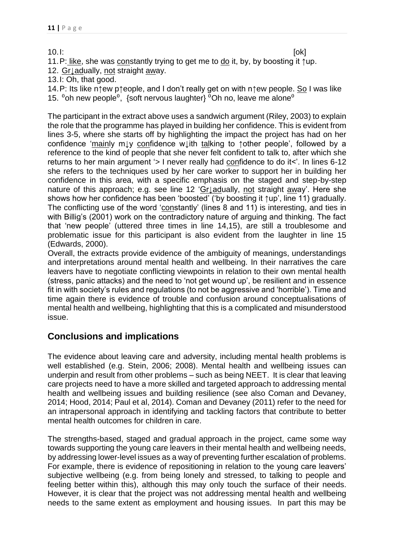10.I: [ok] 11.P: like, she was constantly trying to get me to do it, by, by boosting it ↑up.

12. Gr⊥adually, not straight away.

13.I: Oh, that good.

14.P: Its like n↑ew p↑eople, and I don't really get on with n↑ew people. So I was like 15.  $\mathrm{^0}$ oh new people $\mathrm{^0}$ , {soft nervous laughter}  $\mathrm{^0}$ Oh no, leave me alone $\mathrm{^0}$ 

The participant in the extract above uses a sandwich argument (Riley, 2003) to explain the role that the programme has played in building her confidence. This is evident from lines 3-5, where she starts off by highlighting the impact the project has had on her confidence 'mainly m↓y confidence w↓ith talking to ↑other people', followed by a reference to the kind of people that she never felt confident to talk to, after which she returns to her main argument '> I never really had confidence to do it<'. In lines 6-12 she refers to the techniques used by her care worker to support her in building her confidence in this area, with a specific emphasis on the staged and step-by-step nature of this approach; e.g. see line 12 'Gr⊥adually, not straight away'. Here she shows how her confidence has been 'boosted' ('by boosting it ↑up', line 11) gradually. The conflicting use of the word 'constantly' (lines 8 and 11) is interesting, and ties in with Billig's (2001) work on the contradictory nature of arguing and thinking. The fact that 'new people' (uttered three times in line 14,15), are still a troublesome and problematic issue for this participant is also evident from the laughter in line 15 (Edwards, 2000).

Overall, the extracts provide evidence of the ambiguity of meanings, understandings and interpretations around mental health and wellbeing. In their narratives the care leavers have to negotiate conflicting viewpoints in relation to their own mental health (stress, panic attacks) and the need to 'not get wound up', be resilient and in essence fit in with society's rules and regulations (to not be aggressive and 'horrible'). Time and time again there is evidence of trouble and confusion around conceptualisations of mental health and wellbeing, highlighting that this is a complicated and misunderstood issue.

# **Conclusions and implications**

The evidence about leaving care and adversity, including mental health problems is well established (e.g. Stein, 2006; 2008). Mental health and wellbeing issues can underpin and result from other problems – such as being NEET. It is clear that leaving care projects need to have a more skilled and targeted approach to addressing mental health and wellbeing issues and building resilience (see also Coman and Devaney, 2014; Hood, 2014; Paul et al, 2014). Coman and Devaney (2011) refer to the need for an intrapersonal approach in identifying and tackling factors that contribute to better mental health outcomes for children in care.

The strengths-based, staged and gradual approach in the project, came some way towards supporting the young care leavers in their mental health and wellbeing needs, by addressing lower-level issues as a way of preventing further escalation of problems. For example, there is evidence of repositioning in relation to the young care leavers' subjective wellbeing (e.g. from being lonely and stressed, to talking to people and feeling better within this), although this may only touch the surface of their needs. However, it is clear that the project was not addressing mental health and wellbeing needs to the same extent as employment and housing issues. In part this may be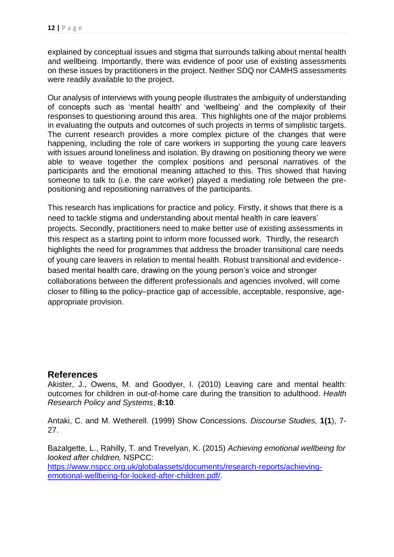explained by conceptual issues and stigma that surrounds talking about mental health and wellbeing. Importantly, there was evidence of poor use of existing assessments on these issues by practitioners in the project. Neither SDQ nor CAMHS assessments were readily available to the project.

Our analysis of interviews with young people illustrates the ambiguity of understanding of concepts such as 'mental health' and 'wellbeing' and the complexity of their responses to questioning around this area. This highlights one of the major problems in evaluating the outputs and outcomes of such projects in terms of simplistic targets. The current research provides a more complex picture of the changes that were happening, including the role of care workers in supporting the young care leavers with issues around loneliness and isolation. By drawing on positioning theory we were able to weave together the complex positions and personal narratives of the participants and the emotional meaning attached to this. This showed that having someone to talk to (i.e. the care worker) played a mediating role between the prepositioning and repositioning narratives of the participants.

This research has implications for practice and policy. Firstly, it shows that there is a need to tackle stigma and understanding about mental health in care leavers' projects. Secondly, practitioners need to make better use of existing assessments in this respect as a starting point to inform more focussed work. Thirdly, the research highlights the need for programmes that address the broader transitional care needs of young care leavers in relation to mental health. Robust transitional and evidencebased mental health care, drawing on the young person's voice and stronger collaborations between the different professionals and agencies involved, will come closer to filling to the policy–practice gap of accessible, acceptable, responsive, ageappropriate provision.

#### **References**

Akister, J., Owens, M. and Goodyer, I. (2010) Leaving care and mental health: outcomes for children in out-of-home care during the transition to adulthood. *Health Research Policy and Systems*, **8:10**.

Antaki, C. and M. Wetherell. (1999) Show Concessions. *Discourse Studies,* **1(1**), 7- 27.

Bazalgette, L., Rahilly, T. and Trevelyan, K. (2015) *Achieving emotional wellbeing for looked after children,* NSPCC: [https://www.nspcc.org.uk/globalassets/documents/research-reports/achieving-](https://www.nspcc.org.uk/globalassets/documents/research-reports/achieving-emotional-wellbeing-for-looked-after-children.pdf/)

[emotional-wellbeing-for-looked-after-children.pdf/.](https://www.nspcc.org.uk/globalassets/documents/research-reports/achieving-emotional-wellbeing-for-looked-after-children.pdf/)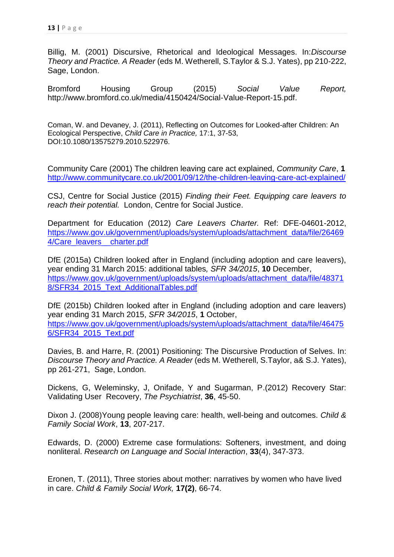Billig, M. (2001) Discursive, Rhetorical and Ideological Messages. In:*Discourse Theory and Practice. A Reader* (eds M. Wetherell, S.Taylor & S.J. Yates), pp 210-222, Sage, London.

Bromford Housing Group (2015) *Social Value Report,*  http://www.bromford.co.uk/media/4150424/Social-Value-Report-15.pdf.

Coman, W. and Devaney, J. (2011), Reflecting on Outcomes for Looked-after Children: An Ecological Perspective, *Child Care in Practice,* 17:1, 37-53, DOI:10.1080/13575279.2010.522976.

Community Care (2001) The children leaving care act explained, *Community Care*, **1** <http://www.communitycare.co.uk/2001/09/12/the-children-leaving-care-act-explained/>

CSJ, Centre for Social Justice (2015) *Finding their Feet. Equipping care leavers to reach their potential.* London, Centre for Social Justice.

Department for Education (2012) *Care Leavers Charter.* Ref: DFE-04601-2012, [https://www.gov.uk/government/uploads/system/uploads/attachment\\_data/file/26469](https://www.gov.uk/government/uploads/system/uploads/attachment_data/file/264694/Care_leavers__charter.pdf) [4/Care\\_leavers\\_\\_charter.pdf](https://www.gov.uk/government/uploads/system/uploads/attachment_data/file/264694/Care_leavers__charter.pdf)

DfE (2015a) Children looked after in England (including adoption and care leavers), year ending 31 March 2015: additional tables*, SFR 34/2015*, **10** December, [https://www.gov.uk/government/uploads/system/uploads/attachment\\_data/file/48371](https://www.gov.uk/government/uploads/system/uploads/attachment_data/file/483718/SFR34_2015_Text_AdditionalTables.pdf) [8/SFR34\\_2015\\_Text\\_AdditionalTables.pdf](https://www.gov.uk/government/uploads/system/uploads/attachment_data/file/483718/SFR34_2015_Text_AdditionalTables.pdf)

DfE (2015b) Children looked after in England (including adoption and care leavers) year ending 31 March 2015, *SFR 34/2015*, **1** October, [https://www.gov.uk/government/uploads/system/uploads/attachment\\_data/file/46475](https://www.gov.uk/government/uploads/system/uploads/attachment_data/file/464756/SFR34_2015_Text.pdf) [6/SFR34\\_2015\\_Text.pdf](https://www.gov.uk/government/uploads/system/uploads/attachment_data/file/464756/SFR34_2015_Text.pdf)

Davies, B. and Harre, R. (2001) Positioning: The Discursive Production of Selves. In: *Discourse Theory and Practice. A Reader* (eds M. Wetherell, S.Taylor, a& S.J. Yates), pp 261-271, Sage, London.

Dickens, G, Weleminsky, J, Onifade, Y and Sugarman, P.(2012) Recovery Star: Validating User Recovery, *The Psychiatrist*, **36**, 45-50.

Dixon J. (2008)Young people leaving care: health, well-being and outcomes. *Child & Family Social Work*, **13**, 207-217.

Edwards, D. (2000) Extreme case formulations: Softeners, investment, and doing nonliteral. *Research on Language and Social Interaction*, **33**(4), 347-373.

Eronen, T. (2011), Three stories about mother: narratives by women who have lived in care. *Child & Family Social Work,* **17(2)**, 66-74.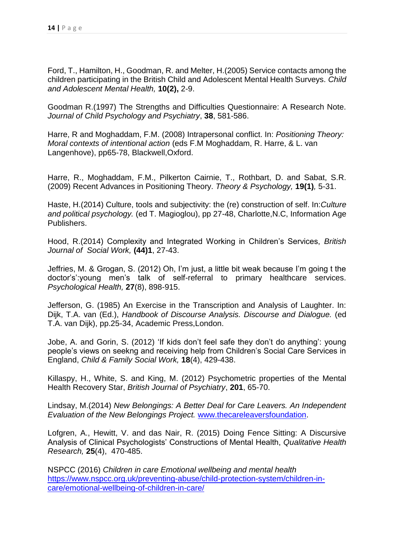Ford, T., Hamilton, H., Goodman, R. and Melter, H.(2005) Service contacts among the children participating in the British Child and Adolescent Mental Health Surveys. *Child and Adolescent Mental Health,* **10(2),** 2-9.

Goodman R.(1997) The Strengths and Difficulties Questionnaire: A Research Note. *Journal of Child Psychology and Psychiatry*, **38**, 581-586.

Harre, R and Moghaddam, F.M. (2008) Intrapersonal conflict. In: *Positioning Theory: Moral contexts of intentional action* (eds F.M Moghaddam, R. Harre, & L. van Langenhove), pp65-78, Blackwell,Oxford.

Harre, R., Moghaddam, F.M., Pilkerton Cairnie, T., Rothbart, D. and Sabat, S.R. (2009) Recent Advances in Positioning Theory. *Theory & Psychology,* **19(1)***,* 5-31.

Haste, H.(2014) Culture, tools and subjectivity: the (re) construction of self. In:*Culture and political psychology.* (ed T. Magioglou), pp 27-48, Charlotte,N.C, Information Age Publishers.

Hood, R.(2014) Complexity and Integrated Working in Children's Services, *British Journal of Social Work,* **(44)1**, 27-43.

Jeffries, M. & Grogan, S. (2012) Oh, I'm just, a little bit weak because I'm going t the doctor's':young men's talk of self-referral to primary healthcare services. *Psychological Health,* **27**(8), 898-915.

Jefferson, G. (1985) An Exercise in the Transcription and Analysis of Laughter. In: Dijk, T.A. van (Ed.), *Handbook of Discourse Analysis. Discourse and Dialogue.* (ed T.A. van Dijk), pp.25-34, Academic Press,London.

Jobe, A. and Gorin, S. (2012) 'If kids don't feel safe they don't do anything': young people's views on seekng and receiving help from Children's Social Care Services in England, *Child & Family Social Work,* **18**(4), 429-438.

Killaspy, H., White, S. and King, M. (2012) Psychometric properties of the Mental Health Recovery Star, *British Journal of Psychiatry*, **201**, 65-70.

Lindsay, M.(2014) *New Belongings: A Better Deal for Care Leavers. An Independent Evaluation of the New Belongings Project.* [www.thecareleaversfoundation.](http://www.thecareleaversfoundation/)

Lofgren, A., Hewitt, V. and das Nair, R. (2015) Doing Fence Sitting: A Discursive Analysis of Clinical Psychologists' Constructions of Mental Health, *Qualitative Health Research,* **25**(4), 470-485.

NSPCC (2016) *Children in care Emotional wellbeing and mental health* [https://www.nspcc.org.uk/preventing-abuse/child-protection-system/children-in](https://www.nspcc.org.uk/preventing-abuse/child-protection-system/children-in-care/emotional-wellbeing-of-children-in-care/)[care/emotional-wellbeing-of-children-in-care/](https://www.nspcc.org.uk/preventing-abuse/child-protection-system/children-in-care/emotional-wellbeing-of-children-in-care/)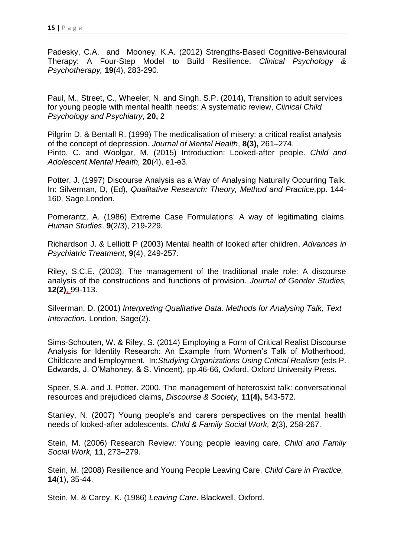Padesky, C.A. and Mooney, K.A. (2012) Strengths-Based Cognitive-Behavioural Therapy: A Four-Step Model to Build Resilience. *Clinical Psychology & Psychotherapy,* **19**(4), 283-290.

Paul, M., Street, C., Wheeler, N. and Singh, S.P. (2014), Transition to adult services for young people with mental health needs: A systematic review, *Clinical Child Psychology and Psychiatry*, **20,** 2

Pilgrim D. & Bentall R. (1999) The medicalisation of misery: a critical realist analysis of the concept of depression. *Journal of Mental Health*, **8(3),** 261–274. Pinto, C. and Woolgar, M. (2015) Introduction: Looked-after people. *Child and Adolescent Mental Health,* **20**(4), e1-e3.

Potter, J. (1997) Discourse Analysis as a Way of Analysing Naturally Occurring Talk. In: Silverman, D, (Ed), *Qualitative Research: Theory, Method and Practice,*pp. 144- 160, Sage,London.

Pomerantz, A. (1986) Extreme Case Formulations: A way of legitimating claims. *Human Studies*. **9**(2/3), 219-229*.*

Richardson J. & Lelliott P (2003) Mental health of looked after children, *Advances in Psychiatric Treatment*, **9**(4), 249-257.

Riley, S.C.E. (2003). The management of the traditional male role: A discourse analysis of the constructions and functions of provision. *Journal of Gender Studies,*  **12(2)**, 99-113.

Silverman, D. (2001) *Interpreting Qualitative Data. Methods for Analysing Talk, Text Interaction.* London, Sage(2).

Sims-Schouten, W. & Riley, S. (2014) Employing a Form of Critical Realist Discourse Analysis for Identity Research: An Example from Women's Talk of Motherhood, Childcare and Employment. In:*Studying Organizations Using Critical Realism* (eds P. Edwards, J. O'Mahoney, & S. Vincent), pp.46-66, Oxford, Oxford University Press.

Speer, S.A. and J. Potter. 2000. The management of heterosxist talk: conversational resources and prejudiced claims, *Discourse & Society,* **11(4),** 543-572.

Stanley, N. (2007) Young people's and carers perspectives on the mental health needs of looked-after adolescents, *Child & Family Social Work,* **2**(3), 258-267.

Stein, M. (2006) Research Review: Young people leaving care*, Child and Family Social Work,* **11**, 273–279.

Stein, M. (2008) Resilience and Young People Leaving Care, *Child Care in Practice,* **14**(1), 35-44.

Stein, M. & Carey, K. (1986) *Leaving Care*. Blackwell, Oxford.